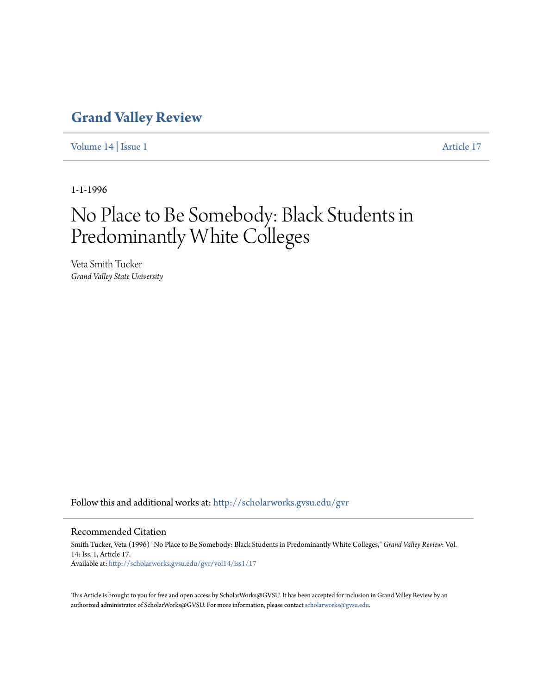### **[Grand Valley Review](http://scholarworks.gvsu.edu/gvr?utm_source=scholarworks.gvsu.edu%2Fgvr%2Fvol14%2Fiss1%2F17&utm_medium=PDF&utm_campaign=PDFCoverPages)**

[Volume 14](http://scholarworks.gvsu.edu/gvr/vol14?utm_source=scholarworks.gvsu.edu%2Fgvr%2Fvol14%2Fiss1%2F17&utm_medium=PDF&utm_campaign=PDFCoverPages) | [Issue 1](http://scholarworks.gvsu.edu/gvr/vol14/iss1?utm_source=scholarworks.gvsu.edu%2Fgvr%2Fvol14%2Fiss1%2F17&utm_medium=PDF&utm_campaign=PDFCoverPages) [Article 17](http://scholarworks.gvsu.edu/gvr/vol14/iss1/17?utm_source=scholarworks.gvsu.edu%2Fgvr%2Fvol14%2Fiss1%2F17&utm_medium=PDF&utm_campaign=PDFCoverPages)

1-1-1996

# No Place to Be Somebody: Black Students in Predominantly White Colleges

Veta Smith Tucker *Grand Valley State University*

Follow this and additional works at: [http://scholarworks.gvsu.edu/gvr](http://scholarworks.gvsu.edu/gvr?utm_source=scholarworks.gvsu.edu%2Fgvr%2Fvol14%2Fiss1%2F17&utm_medium=PDF&utm_campaign=PDFCoverPages)

#### Recommended Citation

Smith Tucker, Veta (1996) "No Place to Be Somebody: Black Students in Predominantly White Colleges," *Grand Valley Review*: Vol. 14: Iss. 1, Article 17. Available at: [http://scholarworks.gvsu.edu/gvr/vol14/iss1/17](http://scholarworks.gvsu.edu/gvr/vol14/iss1/17?utm_source=scholarworks.gvsu.edu%2Fgvr%2Fvol14%2Fiss1%2F17&utm_medium=PDF&utm_campaign=PDFCoverPages)

This Article is brought to you for free and open access by ScholarWorks@GVSU. It has been accepted for inclusion in Grand Valley Review by an authorized administrator of ScholarWorks@GVSU. For more information, please contact [scholarworks@gvsu.edu.](mailto:scholarworks@gvsu.edu)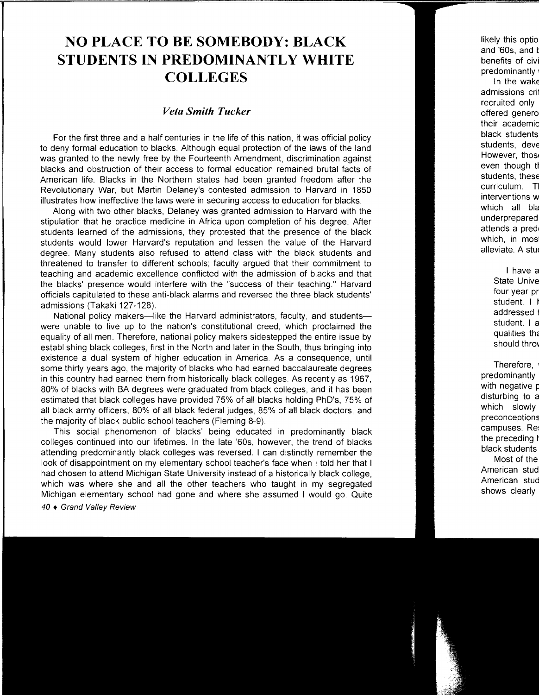## **NO PLACE TO BE SOMEBODY: BLACK STUDENTS IN PREDOMINANTLY WHITE COLLEGES**

### *Veta Smith Tucker*

For the first three and a half centuries in the life of this nation, it was official policy to deny formal education to blacks. Although equal protection of the laws of the land was granted to the newly free by the Fourteenth Amendment, discrimination against blacks and obstruction of their access to formal education remained brutal facts of American life. Blacks in the Northern states had been granted freedom after the Revolutionary War, but Martin Delaney's contested admission to Harvard in 1850 illustrates how ineffective the laws were in securing access to education for blacks.

Along with two other blacks, Delaney was granted admission to Harvard with the stipulation that he practice medicine in Africa upon completion of his degree. After students learned of the admissions, they protested that the presence of the black students would lower Harvard's reputation and lessen the value of the Harvard degree. Many students also refused to attend class with the black students and threatened to transfer to different schools; faculty argued that their commitment to teaching and academic excellence conflicted with the admission of blacks and that the blacks' presence would interfere with the "success of their teaching." Harvard officials capitulated to these anti-black alarms and reversed the three black students' admissions (Takaki 127-128).

National policy makers-like the Harvard administrators, faculty, and studentswere unable to live up to the nation's constitutional creed, which proclaimed the equality of all men. Therefore, national policy makers sidestepped the entire issue by establishing black colleges, first in the North and later in the South, thus bringing into existence a dual system of higher education in America. As a consequence, until some thirty years ago, the majority of blacks who had earned baccalaureate degrees in this country had earned them from historically black colleges. As recently as 1967, 80% of blacks with BA degrees were graduated from black colleges, and it has been estimated that black colleges have provided 75% of all blacks holding PhD's, 75% of all black army officers, 80% of all black federal judges, 85% of all black doctors, and the majority of black public school teachers (Fleming 8-9).

This social phenomenon of blacks' being educated in predominantly black colleges continued into our lifetimes. In the late '60s, however, the trend of blacks attending predominantly black colleges was reversed. I can distinctly remember the look of disappointment on my elementary school teacher's face when I told her that I had chosen to attend Michigan State University instead of a historically black college, which was where she and all the other teachers who taught in my segregated Michigan elementary school had gone and where she assumed I would go. Quite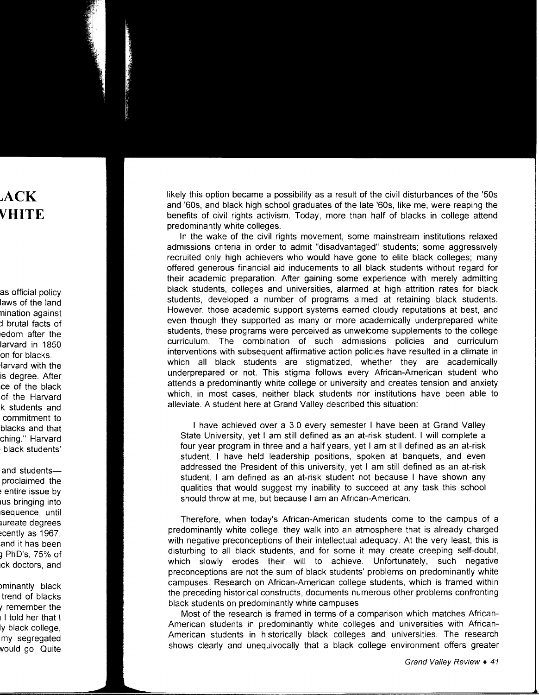likely this option became a possibility as a result of the civil disturbances of the '50s and '60s, and black high school graduates of the late '60s, like me, were reaping the benefits of civil rights activism. Today, more than half of blacks in college attend predominantly white colleges.

In the wake of the civil rights movement, some mainstream institutions relaxed admissions criteria in order to admit "disadvantaged" students; some aggressively recruited only high achievers who would have gone to elite black colleges; many offered generous financial aid inducements to all black students without regard for their academic preparation. After gaining some experience with merely admitting black students, colleges and universities, alarmed at high attrition rates for black students, developed a number of programs aimed at retaining black students. However, those academic support systems earned cloudy reputations at best, and even though they supported as many or more academically underprepared white students, these programs were perceived as unwelcome supplements to the college curriculum. The combination of such admissions policies and curriculum interventions with subsequent affirmative action policies have resulted in a climate in which all black students are stigmatized, whether they are academically underprepared or not. This stigma follows every African-American student who attends a predominantly white college or university and creates tension and anxiety which, in most cases, neither black students nor institutions have been able to alleviate. A student here at Grand Valley described this situation:

I have achieved over a 3.0 every semester I have been at Grand Valley State University, yet I am still defined as an at-risk student. I will complete a four year program in three and a half years, yet I am still defined as an at-risk student. I have held leadership positions, spoken at banquets, and even addressed the President of this university, yet I am still defined as an at-risk student. I am defined as an at-risk student not because I have shown any qualities that would suggest my inability to succeed at any task this school should throw at me, but because I am an African-American.

Therefore, when today's African-American students come to the campus of a predominantly white college, they walk into an atmosphere that is already charged with negative preconceptions of their intellectual adequacy. At the very least, this is disturbing to all black students, and for some it may create creeping self-doubt, which slowly erodes their will to achieve. Unfortunately, such negative preconceptions are not the sum of black students' problems on predominantly white campuses. Research on African-American college students, which is framed within the preceding historical constructs, documents numerous other problems confronting black students on predominantly white campuses.

Most of the research is framed in terms of a comparison which matches African-American students in predominantly white colleges and universities with African-American students in historically black colleges and universities. The research shows clearly and unequivocally that a black college environment offers greater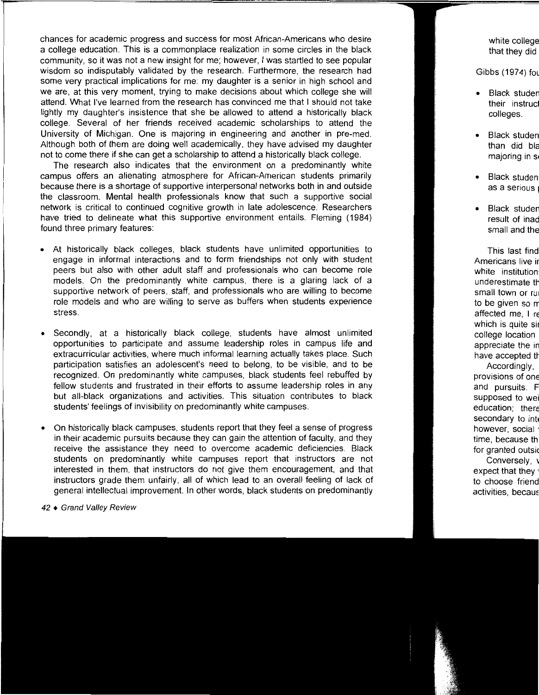chances for academic progress and success for most African-Americans who desire a college education. This is a commonplace realization in some circles in the black community, so it was not a new insight for me; however, I was startled to see popular wisdom so indisputably validated by the research. Furthermore, the research had some very practical implications for me: my daughter is a senior in high school and we are, at this very moment, trying to make decisions about which college she will attend. What I've learned from the research has convinced me that I should not take lightly my daughter's insistence that she be allowed to attend a historically black college. Several of her friends received academic scholarships to attend the University of Michigan. One is majoring in engineering and another in pre-med. Although both of them are doing well academically, they have advised my daughter not to come there if she can get a scholarship to attend a historically black college.

The research also indicates that the environment on a predominantly white campus offers an alienating atmosphere for African-American students primarily because there is a shortage of supportive interpersonal networks both in and outside the classroom. Mental health professionals know that such a supportive social network is critical to continued cognitive growth in late adolescence. Researchers have tried to delineate what this supportive environment entails. Fleming (1984) found three primary features:

- At historically black colleges, black students have unlimited opportunities to engage in informal interactions and to form friendships not only with student peers but also with other adult staff and professionals who can become role models. On the predominantly white campus, there is a glaring lack of a supportive network of peers, staff, and professionals who are willing to become role models and who are willing to serve as buffers when students experience stress.
- Secondly, at a historically black college, students have almost unlimited opportunities to participate and assume leadership roles in campus life and extracurricular activities, where much informal learning actually takes place. Such participation satisfies an adolescent's need to belong, to be visible, and to be recognized. On predominantly white campuses, black students feel rebuffed by fellow students and frustrated in their efforts to assume leadership roles in any but all-black organizations and activities. This situation contributes to black students' feelings of invisibility on predominantly white campuses.
- On historically black campuses, students report that they feel a sense of progress in their academic pursuits because they can gain the attention of faculty, and they receive the assistance they need to overcome academic deficiencies. Black students on predominantly white campuses report that instructors are not interested in them, that instructors do not give them encouragement, and that instructors grade them unfairly, all of which lead to an overall feeling of lack of general intellectual improvement. In other words, black students on predominantly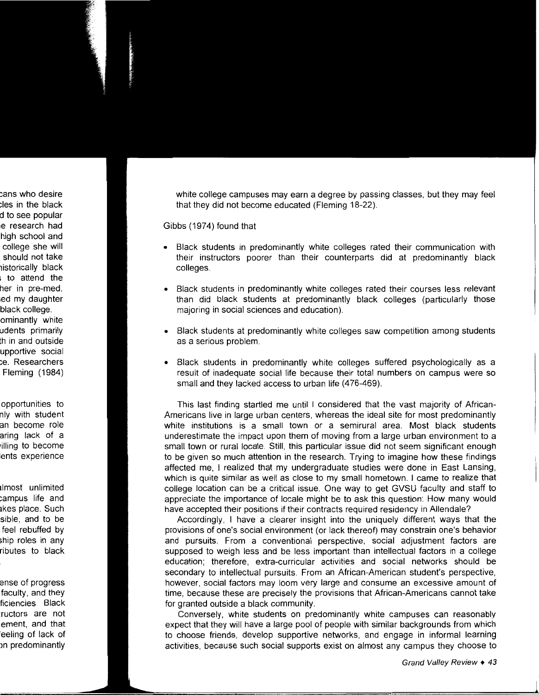white college campuses may earn a degree by passing classes, but they may feel that they did not become educated (Fleming 18-22).

Gibbs (1974) found that

- Black students in predominantly white colleges rated their communication with their instructors poorer than their counterparts did at predominantly black colleges.
- Black students in predominantly white colleges rated their courses less relevant than did black students at predominantly black colleges (particularly those majoring in social sciences and education).
- Black students at predominantly white colleges saw competition among students as a serious problem.
- Black students in predominantly white colleges suffered psychologically as a result of inadequate social life because their total numbers on campus were so small and they lacked access to urban life (476-469).

This last finding startled me until I considered that the vast majority of African-Americans live in large urban centers, whereas the ideal site for most predominantly white institutions is a small town or a semirural area. Most black students underestimate the impact upon them of moving from a large urban environment to a small town or rural locale. Still, this particular issue did not seem significant enough to be given so much attention in the research. Trying to imagine how these findings affected me, I realized that my undergraduate studies were done in East Lansing, which is quite similar as well as close to my small hometown. I came to realize that college location can be a critical issue. One way to get GVSU faculty and staff to appreciate the importance of locale might be to ask this question: How many would have accepted their positions if their contracts required residency in Allendale?

Accordingly, I have a clearer insight into the uniquely different ways that the provisions of one's social environment (or lack thereof) may constrain one's behavior and pursuits. From a conventional perspective, social adjustment factors are supposed to weigh less and be less important than intellectual factors in a college education; therefore, extra-curricular activities and social networks should be secondary to intellectual pursuits. From an African-American student's perspective, however, social factors may loom very large and consume an excessive amount of time, because these are precisely the provisions that African-Americans cannot take for granted outside a black community.

Conversely, white students on predominantly white campuses can reasonably expect that they will have a large pool of people with similar backgrounds from which to choose friends, develop supportive networks, and engage in informal learning activities, because such social supports exist on almost any campus they choose to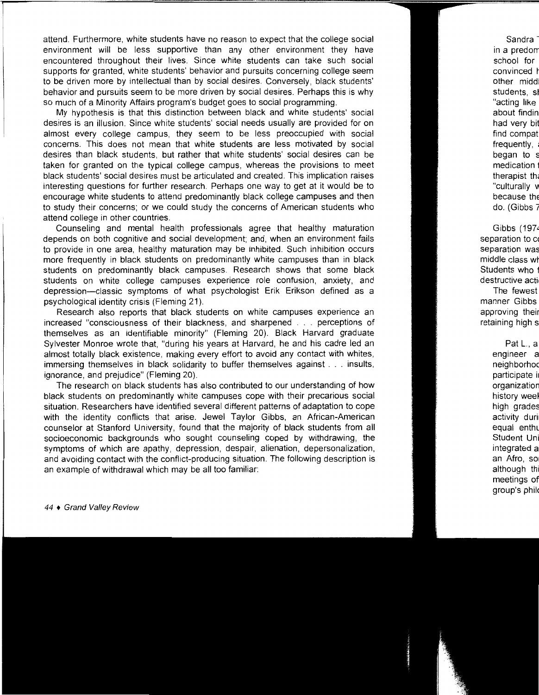attend. Furthermore, white students have no reason to expect that the college social environment will be less supportive than any other environment they have encountered throughout their lives. Since white students can take such social supports for granted, white students' behavior and pursuits concerning college seem to be driven more by intellectual than by social desires. Conversely, black students' behavior and pursuits seem to be more driven by social desires. Perhaps this is why so much of a Minority Affairs program's budget goes to social programming.

My hypothesis is that this distinction between black and white students' social desires is an illusion. Since white students' social needs usually are provided for on almost every college campus, they seem to be less preoccupied with social concerns. This does not mean that white students are less motivated by social desires than black students, but rather that white students' social desires can be taken for granted on the typical college campus, whereas the provisions to meet black students' social desires must be articulated and created. This implication raises interesting questions for further research. Perhaps one way to get at it would be to encourage white students to attend predominantly black college campuses and then to study their concerns; or we could study the concerns of American students who attend college in other countries.

Counseling and mental health professionals agree that healthy maturation depends on both cognitive and social development; and, when an environment fails to provide in one area, healthy maturation may be inhibited. Such inhibition occurs more frequently in black students on predominantly white campuses than in black students on predominantly black campuses. Research shows that some black students on white college campuses experience role confusion, anxiety, and depression-classic symptoms of what psychologist Erik Erikson defined as a psychological identity crisis (Fleming 21).

Research also reports that black students on white campuses experience an increased "consciousness of their blackness, and sharpened . . . perceptions of themselves as an identifiable minority" (Fleming 20). Black Harvard graduate Sylvester Monroe wrote that, "during his years at Harvard, he and his cadre led an almost totally black existence, making every effort to avoid any contact with whites, immersing themselves in black solidarity to buffer themselves against ... insults, ignorance, and prejudice" (Fleming 20).

The research on black students has also contributed to our understanding of how black students on predominantly white campuses cope with their precarious social situation. Researchers have identified several different patterns of adaptation to cope with the identity conflicts that arise. Jewel Taylor Gibbs, an African-American counselor at Stanford University, found that the majority of black students from all socioeconomic backgrounds who sought counseling coped by withdrawing, the symptoms of which are apathy, depression, despair, alienation, depersonalization, and avoiding contact with the conflict-producing situation. The following description is an example of withdrawal which may be all too familiar: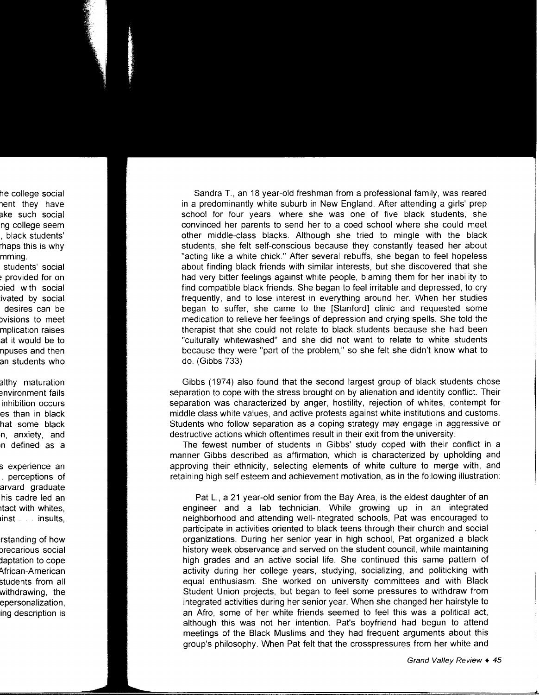Sandra T., an 18 year-old freshman from a professional family, was reared in a predominantly white suburb in New England. After attending a girls' prep school for four years, where she was one of five black students, she convinced her parents to send her to a coed school where she could meet other middle-class blacks. Although she tried to mingle with the black students, she felt self-conscious because they constantly teased her about "acting like a white chick." After several rebuffs, she began to feel hopeless about finding black friends with similar interests, but she discovered that she had very bitter feelings against white people, blaming them for her inability to find compatible black friends. She began to feel irritable and depressed, to cry frequently, and to lose interest in everything around her. When her studies began to suffer, she came to the [Stanford] clinic and requested some medication to relieve her feelings of depression and crying spells. She told the therapist that she could not relate to black students because she had been "culturally whitewashed" and she did not want to relate to white students because they were "part of the problem," so she felt she didn't know what to do. (Gibbs 733)

Gibbs (1974) also found that the second largest group of black students chose separation to cope with the stress brought on by alienation and identity conflict. Their separation was characterized by anger, hostility, rejection of whites, contempt for middle class white values, and active protests against white institutions and customs. Students who follow separation as a coping strategy may engage in aggressive or destructive actions which oftentimes result in their exit from the university.

The fewest number of students in Gibbs' study coped with their conflict in a manner Gibbs described as affirmation, which is characterized by upholding and approving their ethnicity, selecting elements of white culture to merge with, and retaining high self esteem and achievement motivation, as in the following illustration:

Pat L., a 21 year-old senior from the Bay Area, is the eldest daughter of an engineer and a lab technician. While growing up in an integrated neighborhood and attending well-integrated schools, Pat was encouraged to participate in activities oriented to black teens through their church and social organizations. During her senior year in high school, Pat organized a black history week observance and served on the student council, while maintaining high grades and an active social life. She continued this same pattern of activity during her college years, studying, socializing, and politicking with equal enthusiasm. She worked on university committees and with Black Student Union projects, but began to feel some pressures to withdraw from integrated activities during her senior year. When she changed her hairstyle to an Afro, some of her white friends seemed to feel this was a political act, although this was not her intention. Pat's boyfriend had begun to attend meetings of the Black Muslims and they had frequent arguments about this group's philosophy. When Pat felt that the crosspressures from her white and